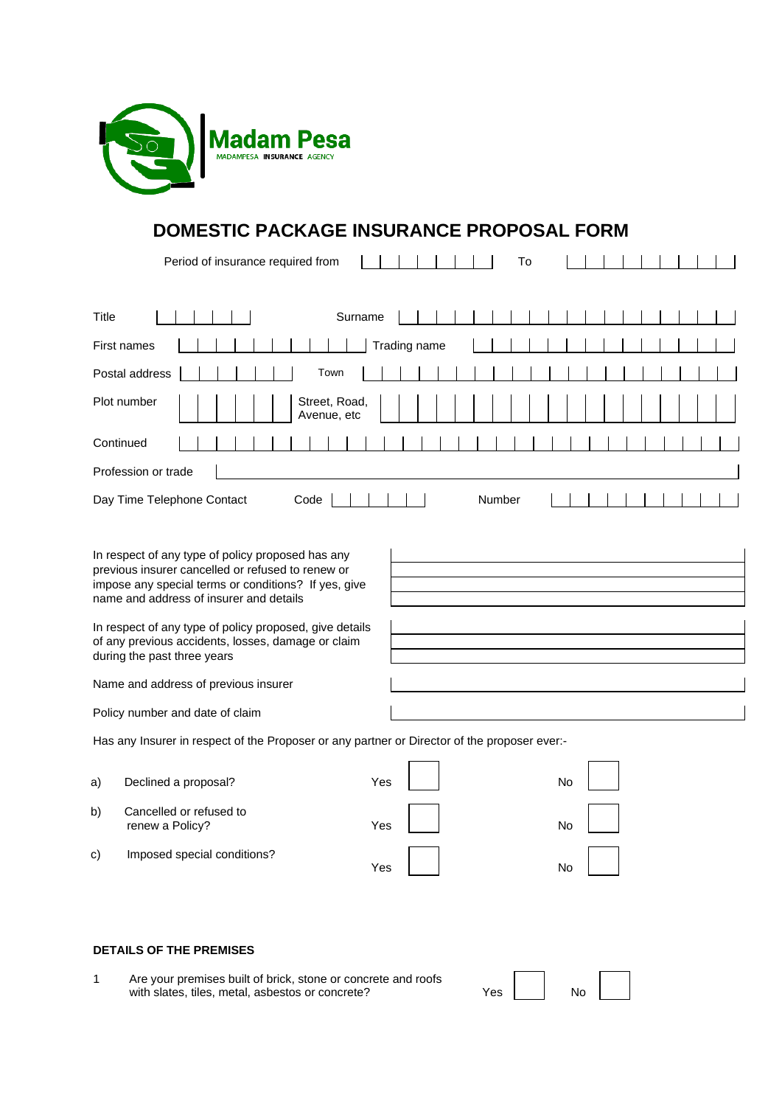

# **DOMESTIC PACKAGE INSURANCE PROPOSAL FORM**

| Period of insurance required from<br>To                                                                                                                                                                                                                                                                                                                   |  |  |  |  |  |
|-----------------------------------------------------------------------------------------------------------------------------------------------------------------------------------------------------------------------------------------------------------------------------------------------------------------------------------------------------------|--|--|--|--|--|
|                                                                                                                                                                                                                                                                                                                                                           |  |  |  |  |  |
| Title<br>Surname                                                                                                                                                                                                                                                                                                                                          |  |  |  |  |  |
| Trading name<br>First names                                                                                                                                                                                                                                                                                                                               |  |  |  |  |  |
| Postal address<br>Town                                                                                                                                                                                                                                                                                                                                    |  |  |  |  |  |
| Plot number<br>Street, Road,<br>Avenue, etc                                                                                                                                                                                                                                                                                                               |  |  |  |  |  |
| Continued                                                                                                                                                                                                                                                                                                                                                 |  |  |  |  |  |
| Profession or trade                                                                                                                                                                                                                                                                                                                                       |  |  |  |  |  |
| Number<br>Day Time Telephone Contact<br>Code                                                                                                                                                                                                                                                                                                              |  |  |  |  |  |
| In respect of any type of policy proposed has any<br>previous insurer cancelled or refused to renew or<br>impose any special terms or conditions? If yes, give<br>name and address of insurer and details<br>In respect of any type of policy proposed, give details<br>of any previous accidents, losses, damage or claim<br>during the past three years |  |  |  |  |  |
| Name and address of previous insurer                                                                                                                                                                                                                                                                                                                      |  |  |  |  |  |
| Policy number and date of claim                                                                                                                                                                                                                                                                                                                           |  |  |  |  |  |
| Has any Insurer in respect of the Proposer or any partner or Director of the proposer ever:-                                                                                                                                                                                                                                                              |  |  |  |  |  |
|                                                                                                                                                                                                                                                                                                                                                           |  |  |  |  |  |

| a) | Declined a proposal?                       | Yes | No |  |
|----|--------------------------------------------|-----|----|--|
| b) | Cancelled or refused to<br>renew a Policy? | Yes | No |  |
| c) | Imposed special conditions?                | Yes | No |  |

### **DETAILS OF THE PREMISES**

| Are your premises built of brick, stone or concrete and roofs |      |    |  |
|---------------------------------------------------------------|------|----|--|
| with slates, tiles, metal, asbestos or concrete?              | Yes. | No |  |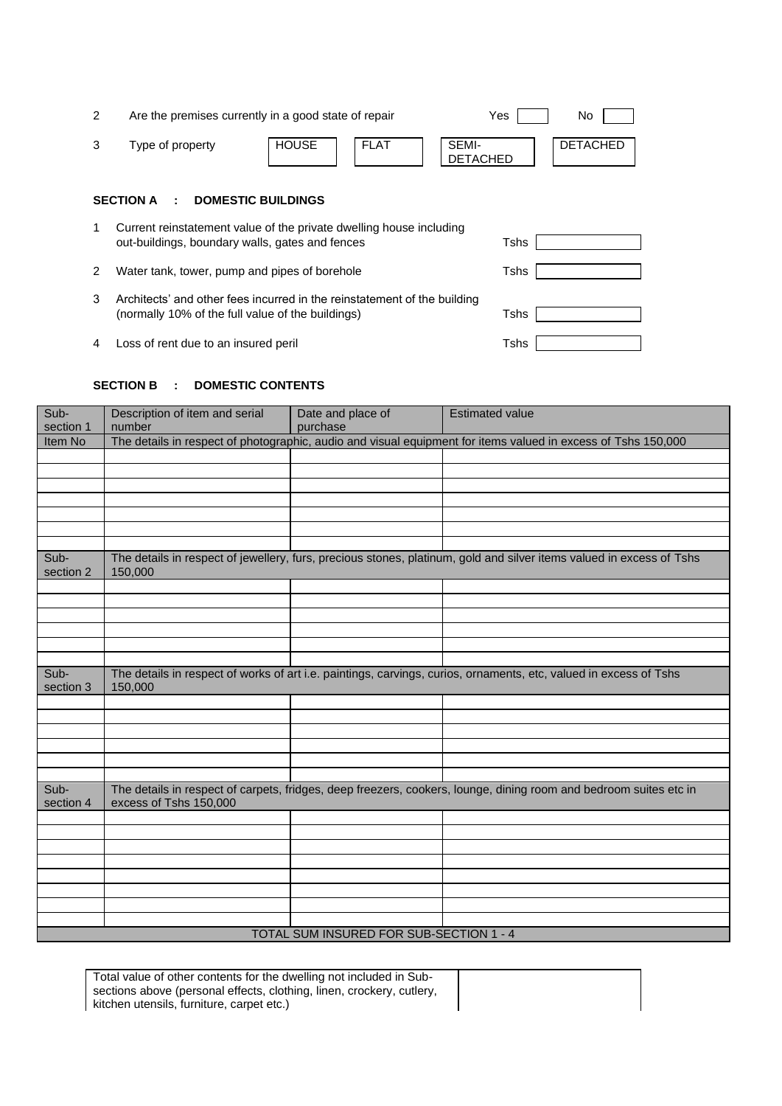| 2 |                                                                                                                                       | Are the premises currently in a good state of repair | Yes                      | No.             |  |  |
|---|---------------------------------------------------------------------------------------------------------------------------------------|------------------------------------------------------|--------------------------|-----------------|--|--|
| 3 | Type of property                                                                                                                      | <b>HOUSE</b><br><b>FLAT</b>                          | SEMI-<br><b>DETACHED</b> | <b>DETACHED</b> |  |  |
|   | <b>SECTION A</b><br><b>DOMESTIC BUILDINGS</b><br>÷                                                                                    |                                                      |                          |                 |  |  |
| 1 | Current reinstatement value of the private dwelling house including<br>Tshs<br>out-buildings, boundary walls, gates and fences        |                                                      |                          |                 |  |  |
| 2 | Water tank, tower, pump and pipes of borehole                                                                                         |                                                      |                          |                 |  |  |
| 3 | Architects' and other fees incurred in the reinstatement of the building<br>(normally 10% of the full value of the buildings)<br>Tshs |                                                      |                          |                 |  |  |
| 4 | Loss of rent due to an insured peril                                                                                                  |                                                      | Tshs                     |                 |  |  |

## **SECTION B : DOMESTIC CONTENTS**

| Sub-                                    | Description of item and serial                                                                                                              | Date and place of | <b>Estimated value</b>                                                                                               |  |  |
|-----------------------------------------|---------------------------------------------------------------------------------------------------------------------------------------------|-------------------|----------------------------------------------------------------------------------------------------------------------|--|--|
| section 1                               | number                                                                                                                                      | purchase          |                                                                                                                      |  |  |
| Item No                                 | The details in respect of photographic, audio and visual equipment for items valued in excess of Tshs 150,000                               |                   |                                                                                                                      |  |  |
|                                         |                                                                                                                                             |                   |                                                                                                                      |  |  |
|                                         |                                                                                                                                             |                   |                                                                                                                      |  |  |
|                                         |                                                                                                                                             |                   |                                                                                                                      |  |  |
|                                         |                                                                                                                                             |                   |                                                                                                                      |  |  |
|                                         |                                                                                                                                             |                   |                                                                                                                      |  |  |
|                                         |                                                                                                                                             |                   |                                                                                                                      |  |  |
| Sub-<br>section 2                       | 150,000                                                                                                                                     |                   | The details in respect of jewellery, furs, precious stones, platinum, gold and silver items valued in excess of Tshs |  |  |
|                                         |                                                                                                                                             |                   |                                                                                                                      |  |  |
|                                         |                                                                                                                                             |                   |                                                                                                                      |  |  |
|                                         |                                                                                                                                             |                   |                                                                                                                      |  |  |
|                                         |                                                                                                                                             |                   |                                                                                                                      |  |  |
|                                         |                                                                                                                                             |                   |                                                                                                                      |  |  |
|                                         |                                                                                                                                             |                   |                                                                                                                      |  |  |
| Sub-<br>section 3                       | The details in respect of works of art i.e. paintings, carvings, curios, ornaments, etc, valued in excess of Tshs<br>150,000                |                   |                                                                                                                      |  |  |
|                                         |                                                                                                                                             |                   |                                                                                                                      |  |  |
|                                         |                                                                                                                                             |                   |                                                                                                                      |  |  |
|                                         |                                                                                                                                             |                   |                                                                                                                      |  |  |
|                                         |                                                                                                                                             |                   |                                                                                                                      |  |  |
|                                         |                                                                                                                                             |                   |                                                                                                                      |  |  |
| Sub-<br>section 4                       | The details in respect of carpets, fridges, deep freezers, cookers, lounge, dining room and bedroom suites etc in<br>excess of Tshs 150,000 |                   |                                                                                                                      |  |  |
|                                         |                                                                                                                                             |                   |                                                                                                                      |  |  |
|                                         |                                                                                                                                             |                   |                                                                                                                      |  |  |
|                                         |                                                                                                                                             |                   |                                                                                                                      |  |  |
|                                         |                                                                                                                                             |                   |                                                                                                                      |  |  |
|                                         |                                                                                                                                             |                   |                                                                                                                      |  |  |
|                                         |                                                                                                                                             |                   |                                                                                                                      |  |  |
|                                         |                                                                                                                                             |                   |                                                                                                                      |  |  |
|                                         |                                                                                                                                             |                   |                                                                                                                      |  |  |
| TOTAL SUM INSURED FOR SUB-SECTION 1 - 4 |                                                                                                                                             |                   |                                                                                                                      |  |  |

Total value of other contents for the dwelling not included in Subsections above (personal effects, clothing, linen, crockery, cutlery, kitchen utensils, furniture, carpet etc.)